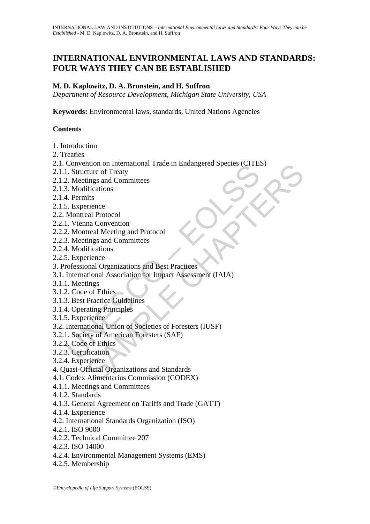# **INTERNATIONAL ENVIRONMENTAL LAWS AND STANDARDS: FOUR WAYS THEY CAN BE ESTABLISHED**

## **M. D. Kaplowitz, D. A. Bronstein, and H. Suffron**

*Department of Resource Development, Michigan State University, USA* 

**Keywords:** Environmental laws, standards, United Nations Agencies

### **Contents**

- 1. Introduction
- 2. Treaties
- 2.1. Convention on International Trade in Endangered Species (CITES)
- 2.1.1. Structure of Treaty
- 2.1.2. Meetings and Committees
- 2.1.3. Modifications
- 2.1.4. Permits
- 2.1.5. Experience
- 2.2. Montreal Protocol
- 2.2.1. Vienna Convention
- 2.2.2. Montreal Meeting and Protocol
- 2.2.3. Meetings and Committees
- 2.2.4. Modifications
- 2.2.5. Experience
- 3. Professional Organizations and Best Practices
- Convention on International Trade In Endangeled Species CTTE.<br>
1. Structure of Trady<br>
2. Meetings and Committees<br>
3. Modifications<br>
4. Permits<br>
5. Experience<br>
1. Vienna Convention<br>
1. Vienna Convention<br>
2. Montreal Meeting nton on international Trade in Endangered Species (CTES)<br>
ture of Treaty<br>
tings and Committees<br>
ifications<br>
ities<br>
irience<br>
eal Protocol<br>
ma Convention<br>
tings and Committees<br>
ifications<br>
ifications<br>
ifications<br>
serience<br>
i 3.1. International Association for Impact Assessment (IAIA)
- 3.1.1. Meetings
- 3.1.2. Code of Ethics
- 3.1.3. Best Practice Guidelines
- 3.1.4. Operating Principles
- 3.1.5. Experience
- 3.2. International Union of Societies of Foresters (IUSF)
- 3.2.1. Society of American Foresters (SAF)
- 3.2.2. Code of Ethics
- 3.2.3. Certification
- 3.2.4. Experience
- 4. Quasi-Official Organizations and Standards
- 4.1. Codex Alimentarius Commission (CODEX)
- 4.1.1. Meetings and Committees
- 4.1.2. Standards
- 4.1.3. General Agreement on Tariffs and Trade (GATT)
- 4.1.4. Experience
- 4.2. International Standards Organization (ISO)
- 4.2.1. ISO 9000
- 4.2.2. Technical Committee 207
- 4.2.3. ISO 14000
- 4.2.4. Environmental Management Systems (EMS)
- 4.2.5. Membership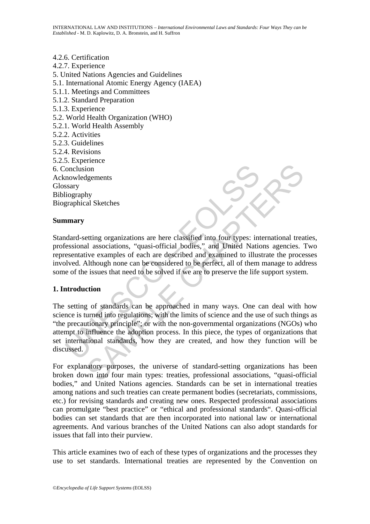#### 4.2.6. Certification 4.2.7. Experience 5. United Nations Agencies and Guidelines 5.1. International Atomic Energy Agency (IAEA) 5.1.1. Meetings and Committees 5.1.2. Standard Preparation 5.1.3. Experience 5.2. World Health Organization (WHO) 5.2.1. World Health Assembly 5.2.2. Activities 5.2.3. Guidelines 5.2.4. Revisions 5.2.5. Experience 6. Conclusion Acknowledgements **Glossary** Bibliography Biographical Sketches

#### **Summary**

Standard-setting organizations are here classified into four types: international treaties, professional associations, "quasi-official bodies," and United Nations agencies. Two representative examples of each are described and examined to illustrate the processes involved. Although none can be considered to be perfect, all of them manage to address some of the issues that need to be solved if we are to preserve the life support system.

#### **1. Introduction**

Conclusion<br>
iography<br>
iography<br>
iography<br>
iography<br>
iography<br>
anary<br>
anary<br>
anary<br>
anary<br>
anary<br>
anary<br>
anary<br>
anary<br>
anary<br>
anary<br>
anary<br>
anary<br>
anary<br>
anary<br>
anary<br>
action and the considered to be perfect, all of them<br>
e International Sketches<br>
In al Sketches<br>
In al Sketches<br>
In al Sketches<br>
International cream-section and Sketches<br>
In al associations, "quasi-official bodies," and United Nations agencies.<br>
Yie examples of each are describe The setting of standards can be approached in many ways. One can deal with how science is turned into regulations; with the limits of science and the use of such things as "the precautionary principle"; or with the non-governmental organizations (NGOs) who attempt to influence the adoption process. In this piece, the types of organizations that set international standards, how they are created, and how they function will be discussed.

For explanatory purposes, the universe of standard-setting organizations has been broken down into four main types: treaties, professional associations, "quasi-official bodies," and United Nations agencies. Standards can be set in international treaties among nations and such treaties can create permanent bodies (secretariats, commissions, etc.) for revising standards and creating new ones. Respected professional associations can promulgate "best practice" or "ethical and professional standards". Quasi-official bodies can set standards that are then incorporated into national law or international agreements. And various branches of the United Nations can also adopt standards for issues that fall into their purview.

This article examines two of each of these types of organizations and the processes they use to set standards. International treaties are represented by the Convention on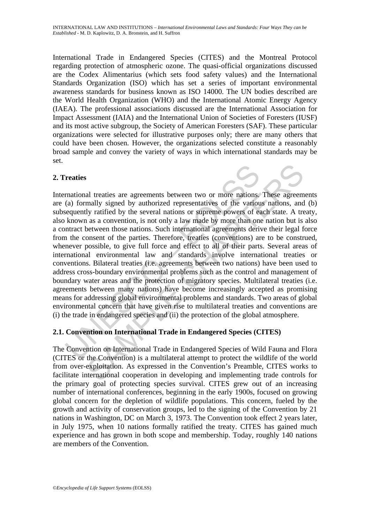International Trade in Endangered Species (CITES) and the Montreal Protocol regarding protection of atmospheric ozone. The quasi-official organizations discussed are the Codex Alimentarius (which sets food safety values) and the International Standards Organization (ISO) which has set a series of important environmental awareness standards for business known as ISO 14000. The UN bodies described are the World Health Organization (WHO) and the International Atomic Energy Agency (IAEA). The professional associations discussed are the International Association for Impact Assessment (IAIA) and the International Union of Societies of Foresters (IUSF) and its most active subgroup, the Society of American Foresters (SAF). These particular organizations were selected for illustrative purposes only; there are many others that could have been chosen. However, the organizations selected constitute a reasonably broad sample and convey the variety of ways in which international standards may be set.

### **2. Treaties**

**Transional treaties**<br> **CALSTER CONSTER CONSTER CONSTERN** THE CONDONCTION CONDUCTION OF THE CONDUCTED ON THE CONDUCTED SUPLATED THE SUPLATION IN THE CONDUCTED AND A REPORT THE CONDUCTED AND THE CONDUCTED THE CONDUCTED THE al treaties are agreements between two or more nations. These agreem<br>mally signed by authorized representatives of the various nations, and<br>ly ratified by the several nations or supreme powers of each state. A re<br>as a conv International treaties are agreements between two or more nations. These agreements are (a) formally signed by authorized representatives of the various nations, and (b) subsequently ratified by the several nations or supreme powers of each state. A treaty, also known as a convention, is not only a law made by more than one nation but is also a contract between those nations. Such international agreements derive their legal force from the consent of the parties. Therefore, treaties (conventions) are to be construed, whenever possible, to give full force and effect to all of their parts. Several areas of international environmental law and standards involve international treaties or conventions. Bilateral treaties (i.e. agreements between two nations) have been used to address cross-boundary environmental problems such as the control and management of boundary water areas and the protection of migratory species. Multilateral treaties (i.e. agreements between many nations) have become increasingly accepted as promising means for addressing global environmental problems and standards. Two areas of global environmental concern that have given rise to multilateral treaties and conventions are (i) the trade in endangered species and (ii) the protection of the global atmosphere.

### **2.1. Convention on International Trade in Endangered Species (CITES)**

The Convention on International Trade in Endangered Species of Wild Fauna and Flora (CITES or the Convention) is a multilateral attempt to protect the wildlife of the world from over-exploitation. As expressed in the Convention's Preamble, CITES works to facilitate international cooperation in developing and implementing trade controls for the primary goal of protecting species survival. CITES grew out of an increasing number of international conferences, beginning in the early 1900s, focused on growing global concern for the depletion of wildlife populations. This concern, fueled by the growth and activity of conservation groups, led to the signing of the Convention by 21 nations in Washington, DC on March 3, 1973. The Convention took effect 2 years later, in July 1975, when 10 nations formally ratified the treaty. CITES has gained much experience and has grown in both scope and membership. Today, roughly 140 nations are members of the Convention.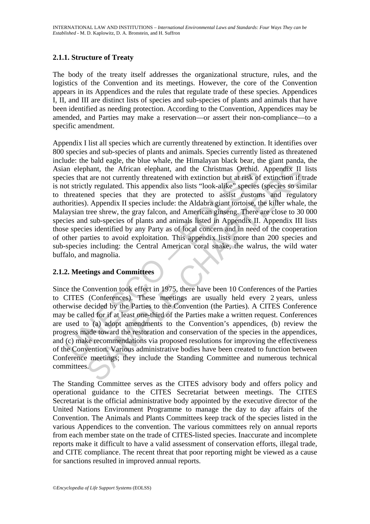### **2.1.1. Structure of Treaty**

The body of the treaty itself addresses the organizational structure, rules, and the logistics of the Convention and its meetings. However, the core of the Convention appears in its Appendices and the rules that regulate trade of these species. Appendices I, II, and III are distinct lists of species and sub-species of plants and animals that have been identified as needing protection. According to the Convention, Appendices may be amended, and Parties may make a reservation—or assert their non-compliance—to a specific amendment.

an elephant, the African elephant, and the Christmas Orchid.<br>
eies that are not currently threatened with extinction but at risk of<br>
ot strictly regulated. This appendix also lists "look-alike" species<br>
threatened species The Matter of the Conference of the and the Christmas Orchid. Appendix II<br>tare not currently threatened with extinction but at risk of extinction if the and currently threatened with extinction but at risk of extinction if Appendix I list all species which are currently threatened by extinction. It identifies over 800 species and sub-species of plants and animals. Species currently listed as threatened include: the bald eagle, the blue whale, the Himalayan black bear, the giant panda, the Asian elephant, the African elephant, and the Christmas Orchid. Appendix II lists species that are not currently threatened with extinction but at risk of extinction if trade is not strictly regulated. This appendix also lists "look-alike" species (species so similar to threatened species that they are protected to assist customs and regulatory authorities). Appendix II species include: the Aldabra giant tortoise, the killer whale, the Malaysian tree shrew, the gray falcon, and American ginseng. There are close to 30 000 species and sub-species of plants and animals listed in Appendix II. Appendix III lists those species identified by any Party as of local concern and in need of the cooperation of other parties to avoid exploitation. This appendix lists more than 200 species and sub-species including: the Central American coral snake, the walrus, the wild water buffalo, and magnolia.

### **2.1.2. Meetings and Committees**

Since the Convention took effect in 1975, there have been 10 Conferences of the Parties to CITES (Conferences). These meetings are usually held every 2 years, unless otherwise decided by the Parties to the Convention (the Parties). A CITES Conference may be called for if at least one-third of the Parties make a written request. Conferences are used to (a) adopt amendments to the Convention's appendices, (b) review the progress made toward the restoration and conservation of the species in the appendices, and (c) make recommendations via proposed resolutions for improving the effectiveness of the Convention. Various administrative bodies have been created to function between Conference meetings; they include the Standing Committee and numerous technical committees.

The Standing Committee serves as the CITES advisory body and offers policy and operational guidance to the CITES Secretariat between meetings. The CITES Secretariat is the official administrative body appointed by the executive director of the United Nations Environment Programme to manage the day to day affairs of the Convention. The Animals and Plants Committees keep track of the species listed in the various Appendices to the convention. The various committees rely on annual reports from each member state on the trade of CITES-listed species. Inaccurate and incomplete reports make it difficult to have a valid assessment of conservation efforts, illegal trade, and CITE compliance. The recent threat that poor reporting might be viewed as a cause for sanctions resulted in improved annual reports.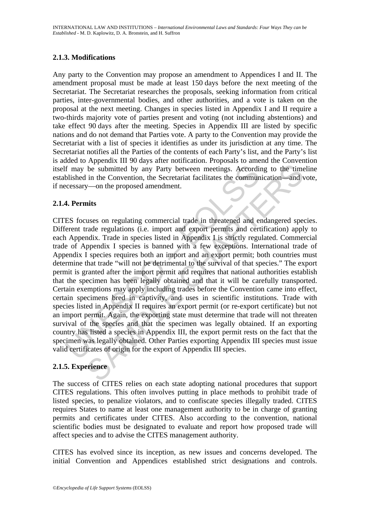### **2.1.3. Modifications**

Any party to the Convention may propose an amendment to Appendices I and II. The amendment proposal must be made at least 150 days before the next meeting of the Secretariat. The Secretariat researches the proposals, seeking information from critical parties, inter-governmental bodies, and other authorities, and a vote is taken on the proposal at the next meeting. Changes in species listed in Appendix I and II require a two-thirds majority vote of parties present and voting (not including abstentions) and take effect 90 days after the meeting. Species in Appendix III are listed by specific nations and do not demand that Parties vote. A party to the Convention may provide the Secretariat with a list of species it identifies as under its jurisdiction at any time. The Secretariat notifies all the Parties of the contents of each Party's list, and the Party's list is added to Appendix III 90 days after notification. Proposals to amend the Convention itself may be submitted by any Party between meetings. According to the timeline established in the Convention, the Secretariat facilitates the communication—and vote, if necessary—on the proposed amendment.

#### **2.1.4. Permits**

If may be submitted by any Party between meetings. Accordial<br>blished in the Convention, the Secretariat facilitates the commun<br>ccessary—on the proposed amendment.<br>**4. Permits**<br>ES focuses on regulating commercial trade in t be submitted by any Party between meetings. According to the time<br>in the Convention, the Secretariat facilitates the communication—and v<br>y—on the proposed amendment.<br>Inits<br>wases on regulating commercial trade in threatened CITES focuses on regulating commercial trade in threatened and endangered species. Different trade regulations (i.e. import and export permits and certification) apply to each Appendix. Trade in species listed in Appendix I is strictly regulated. Commercial trade of Appendix I species is banned with a few exceptions. International trade of Appendix I species requires both an import and an export permit; both countries must determine that trade "will not be detrimental to the survival of that species." The export permit is granted after the import permit and requires that national authorities establish that the specimen has been legally obtained and that it will be carefully transported. Certain exemptions may apply including trades before the Convention came into effect, certain specimens bred in captivity, and uses in scientific institutions. Trade with species listed in Appendix II requires an export permit (or re-export certificate) but not an import permit. Again, the exporting state must determine that trade will not threaten survival of the species and that the specimen was legally obtained. If an exporting country has listed a species in Appendix III, the export permit rests on the fact that the specimen was legally obtained. Other Parties exporting Appendix III species must issue valid certificates of origin for the export of Appendix III species.

### **2.1.5. Experience**

The success of CITES relies on each state adopting national procedures that support CITES regulations. This often involves putting in place methods to prohibit trade of listed species, to penalize violators, and to confiscate species illegally traded. CITES requires States to name at least one management authority to be in charge of granting permits and certificates under CITES. Also according to the convention, national scientific bodies must be designated to evaluate and report how proposed trade will affect species and to advise the CITES management authority.

CITES has evolved since its inception, as new issues and concerns developed. The initial Convention and Appendices established strict designations and controls.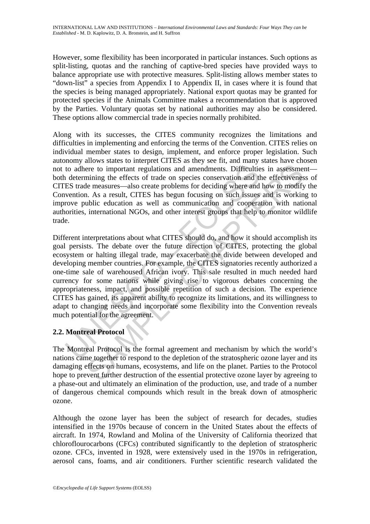However, some flexibility has been incorporated in particular instances. Such options as split-listing, quotas and the ranching of captive-bred species have provided ways to balance appropriate use with protective measures. Split-listing allows member states to "down-list" a species from Appendix I to Appendix II, in cases where it is found that the species is being managed appropriately. National export quotas may be granted for protected species if the Animals Committee makes a recommendation that is approved by the Parties. Voluntary quotas set by national authorities may also be considered. These options allow commercial trade in species normally prohibited.

Along with its successes, the CITES community recognizes the limitations and difficulties in implementing and enforcing the terms of the Convention. CITES relies on individual member states to design, implement, and enforce proper legislation. Such autonomy allows states to interpret CITES as they see fit, and many states have chosen not to adhere to important regulations and amendments. Difficulties in assessment both determining the effects of trade on species conservation and the effectiveness of CITES trade measures—also create problems for deciding where and how to modify the Convention. As a result, CITES has begun focusing on such issues and is working to improve public education as well as communication and cooperation with national authorities, international NGOs, and other interest groups that help to monitor wildlife trade.

to adhere to important regulations and amendments. Difficultie<br>
1 determining the effects of trade on species conservation and tl<br>
ES trade measures—also create problems for deciding where and<br>
vention. As a result, CITES ere to important regulations and amendments. Difficulties in assessmentining the effects of trade on species conservation and the effectivenes<br>emining the effects of trade on species conservation and the effectivenes<br>in As Different interpretations about what CITES should do, and how it should accomplish its goal persists. The debate over the future direction of CITES, protecting the global ecosystem or halting illegal trade, may exacerbate the divide between developed and developing member countries. For example, the CITES signatories recently authorized a one-time sale of warehoused African ivory. This sale resulted in much needed hard currency for some nations while giving rise to vigorous debates concerning the appropriateness, impact, and possible repetition of such a decision. The experience CITES has gained, its apparent ability to recognize its limitations, and its willingness to adapt to changing needs and incorporate some flexibility into the Convention reveals much potential for the agreement.

### **2.2. Montreal Protocol**

The Montreal Protocol is the formal agreement and mechanism by which the world's nations came together to respond to the depletion of the stratospheric ozone layer and its damaging effects on humans, ecosystems, and life on the planet. Parties to the Protocol hope to prevent further destruction of the essential protective ozone layer by agreeing to a phase-out and ultimately an elimination of the production, use, and trade of a number of dangerous chemical compounds which result in the break down of atmospheric ozone.

Although the ozone layer has been the subject of research for decades, studies intensified in the 1970s because of concern in the United States about the effects of aircraft. In 1974, Rowland and Molina of the University of California theorized that chloroflourocarbons (CFCs) contributed significantly to the depletion of stratospheric ozone. CFCs, invented in 1928, were extensively used in the 1970s in refrigeration, aerosol cans, foams, and air conditioners. Further scientific research validated the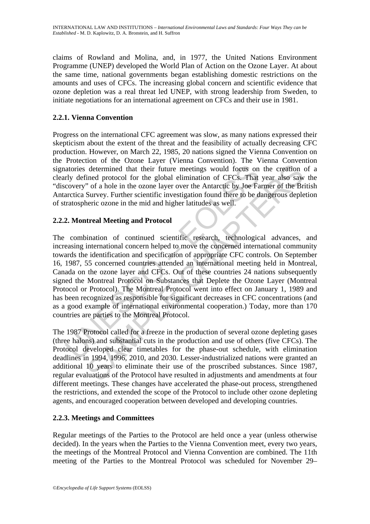claims of Rowland and Molina, and, in 1977, the United Nations Environment Programme (UNEP) developed the World Plan of Action on the Ozone Layer. At about the same time, national governments began establishing domestic restrictions on the amounts and uses of CFCs. The increasing global concern and scientific evidence that ozone depletion was a real threat led UNEP, with strong leadership from Sweden, to initiate negotiations for an international agreement on CFCs and their use in 1981.

## **2.2.1. Vienna Convention**

Progress on the international CFC agreement was slow, as many nations expressed their skepticism about the extent of the threat and the feasibility of actually decreasing CFC production. However, on March 22, 1985, 20 nations signed the Vienna Convention on the Protection of the Ozone Layer (Vienna Convention). The Vienna Convention signatories determined that their future meetings would focus on the creation of a clearly defined protocol for the global elimination of CFCs. That year also saw the "discovery" of a hole in the ozone layer over the Antarctic by Joe Farmer of the British Antarctica Survey. Further scientific investigation found there to be dangerous depletion of stratospheric ozone in the mid and higher latitudes as well.

# **2.2.2. Montreal Meeting and Protocol**

atories determined that their future meetings would focus on<br>rly defined protocol for the global elimination of CFCs. That<br>covery" of a hole in the ozone layer over the Antarctic by Joe Fa<br>arctica Survey. Further scientifi determined that their future meetings would focus on the creation<br>ined protocol for the global elimination of CFCs. That year also saw<br>"of a hole in the cozon layer over the Antarctic by Joe Farmer of the Br<br>Survey. Furthe The combination of continued scientific research, technological advances, and increasing international concern helped to move the concerned international community towards the identification and specification of appropriate CFC controls. On September 16, 1987, 55 concerned countries attended an international meeting held in Montreal, Canada on the ozone layer and CFCs. Out of these countries 24 nations subsequently signed the Montreal Protocol on Substances that Deplete the Ozone Layer (Montreal Protocol or Protocol). The Montreal Protocol went into effect on January 1, 1989 and has been recognized as responsible for significant decreases in CFC concentrations (and as a good example of international environmental cooperation.) Today, more than 170 countries are parties to the Montreal Protocol.

The 1987 Protocol called for a freeze in the production of several ozone depleting gases (three halons) and substantial cuts in the production and use of others (five CFCs). The Protocol developed clear timetables for the phase-out schedule, with elimination deadlines in 1994, 1996, 2010, and 2030. Lesser-industrialized nations were granted an additional 10 years to eliminate their use of the proscribed substances. Since 1987, regular evaluations of the Protocol have resulted in adjustments and amendments at four different meetings. These changes have accelerated the phase-out process, strengthened the restrictions, and extended the scope of the Protocol to include other ozone depleting agents, and encouraged cooperation between developed and developing countries.

### **2.2.3. Meetings and Committees**

Regular meetings of the Parties to the Protocol are held once a year (unless otherwise decided). In the years when the Parties to the Vienna Convention meet, every two years, the meetings of the Montreal Protocol and Vienna Convention are combined. The 11th meeting of the Parties to the Montreal Protocol was scheduled for November 29–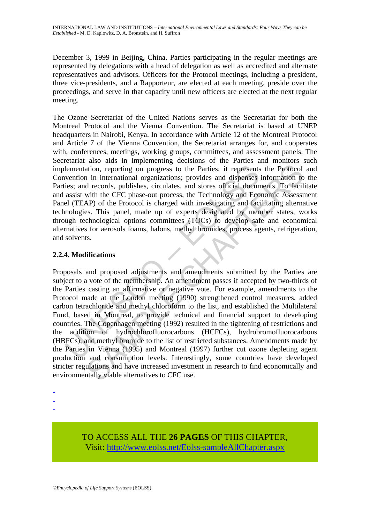December 3, 1999 in Beijing, China. Parties participating in the regular meetings are represented by delegations with a head of delegation as well as accredited and alternate representatives and advisors. Officers for the Protocol meetings, including a president, three vice-presidents, and a Rapporteur, are elected at each meeting, preside over the proceedings, and serve in that capacity until new officers are elected at the next regular meeting.

The Ozone Secretariat of the United Nations serves as the Secretariat for both the Montreal Protocol and the Vienna Convention. The Secretariat is based at UNEP headquarters in Nairobi, Kenya. In accordance with Article 12 of the Montreal Protocol and Article 7 of the Vienna Convention, the Secretariat arranges for, and cooperates with, conferences, meetings, working groups, committees, and assessment panels. The Secretariat also aids in implementing decisions of the Parties and monitors such implementation, reporting on progress to the Parties; it represents the Protocol and Convention in international organizations; provides and dispenses information to the Parties; and records, publishes, circulates, and stores official documents. To facilitate and assist with the CFC phase-out process, the Technology and Economic Assessment Panel (TEAP) of the Protocol is charged with investigating and facilitating alternative technologies. This panel, made up of experts designated by member states, works through technological options committees (TOCs) to develop safe and economical alternatives for aerosols foams, halons, methyl bromides, process agents, refrigeration, and solvents.

# **2.2.4. Modifications**

lementation, reporting on progress to the Parties; it represents<br>vention in international organizations; provides and dispenses<br>ies; and records, publishes, circulates, and stores official docun<br>assist with the CFC phase-o ation, reporting on progress to the Parties; it represents the Protocol<br>
in international organizations; provides and dispenses information to<br>
records, publishes, circulates, and stores official documents. To facil<br>
with Proposals and proposed adjustments and amendments submitted by the Parties are subject to a vote of the membership. An amendment passes if accepted by two-thirds of the Parties casting an affirmative or negative vote. For example, amendments to the Protocol made at the London meeting (1990) strengthened control measures, added carbon tetrachloride and methyl chloroform to the list, and established the Multilateral Fund, based in Montreal, to provide technical and financial support to developing countries. The Copenhagen meeting (1992) resulted in the tightening of restrictions and the addition of hydrochlorofluorocarbons (HCFCs), hydrobromofluorocarbons (HBFCs), and methyl bromide to the list of restricted substances. Amendments made by the Parties in Vienna (1995) and Montreal (1997) further cut ozone depleting agent production and consumption levels. Interestingly, some countries have developed stricter regulations and have increased investment in research to find economically and environmentally viable alternatives to CFC use.

-

TO ACCESS ALL THE **26 PAGES** OF THIS CHAPTER, Visit[: http://www.eolss.net/Eolss-sampleAllChapter.aspx](https://www.eolss.net/ebooklib/sc_cart.aspx?File=E1-36-04)

<sup>-</sup> 

<sup>-</sup>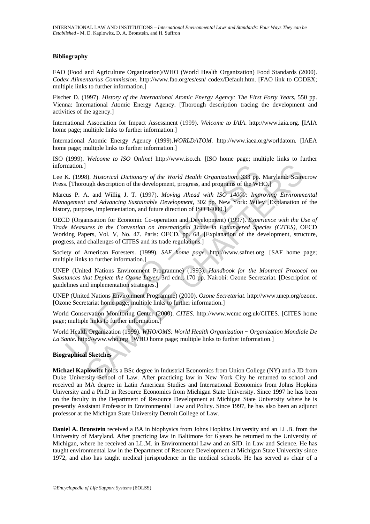#### **Bibliography**

FAO (Food and Agriculture Organization)/WHO (World Health Organization) Food Standards (2000). *Codex Alimentarius Commission*. http://www.fao.org/es/esn/ codex/Default.htm. [FAO link to CODEX; multiple links to further information.]

Fischer D. (1997). *History of the International Atomic Energy Agency: The First Forty Years*, 550 pp. Vienna: International Atomic Energy Agency. [Thorough description tracing the development and activities of the agency.]

International Association for Impact Assessment (1999). *Welcome to IAIA*. http://www.iaia.org. [IAIA home page; multiple links to further information.]

International Atomic Energy Agency (1999).*WORLDATOM*. http://www.iaea.org/worldatom. [IAEA home page; multiple links to further information.

ISO (1999). *Welcome to ISO Online!* http://www.iso.ch. [ISO home page; multiple links to further information.]

Lee K. (1998). *Historical Dictionary of the World Health Organization*, 333 pp. Maryland: Scarecrow Press. [Thorough description of the development, progress, and programs of the WHO.]

Marcus P. A. and Willig J. T. (1997). *Moving Ahead with ISO 14000: Improving Environmental Management and Advancing Sustainable Development*, 302 pp. New York: Wiley [Explanation of the history, purpose, implementation, and future direction of ISO 14000.]

mation.]<br>
K. (1998). *Historical Dictionary of the World Health Organization*, 333 pp.<br>
I. Thorough description of the development, progress, and programs of the Wi<br>
20. I. S. P. A. and Willig J. T. (1997). *Moving Ahead w* 8). Historical Dictionary of the World Health Organization, 333 pp. Maryland: Scare<br>wgh description of the development, progress, and programs of the WHO.<br>1<br>A. and Willig J. T. (1997). Moving Ahead with ISO 14000: Improvin OECD (Organisation for Economic Co-operation and Development) (1997). *Experience with the Use of Trade Measures in the Convention on International Trade in Endangered Species (CITES)*, OECD Working Papers, Vol. V, No. 47. Paris: OECD. pp. 68. [Explanation of the development, structure, progress, and challenges of CITES and its trade regulations.]

Society of American Foresters. (1999). *SAF home page*. http://www.safnet.org. [SAF home page; multiple links to further information.]

UNEP (United Nations Environment Programme) (1993). *Handbook for the Montreal Protocol on Substances that Deplete the Ozone Layer*. 3rd edn., 170 pp. Nairobi: Ozone Secretariat. [Description of guidelines and implementation strategies.]

UNEP (United Nations Environment Programme) (2000). *Ozone Secretariat*. http://www.unep.org/ozone. [Ozone Secretariat home page; multiple links to further information.]

World Conservation Monitoring Center (2000). *CITES*. http://www.wcmc.org.uk/CITES. [CITES home page; multiple links to further information.]

World Health Organization (1999). *WHO/OMS: World Health Organization ~ Organization Mondiale De La Sante*. http://www.who.org. [WHO home page; multiple links to further information.]

#### **Biographical Sketches**

**Michael Kaplowitz** holds a BSc degree in Industrial Economics from Union College (NY) and a JD from Duke University School of Law. After practicing law in New York City he returned to school and received an MA degree in Latin American Studies and International Economics from Johns Hopkins University and a Ph.D in Resource Economics from Michigan State University. Since 1997 he has been on the faculty in the Department of Resource Development at Michigan State University where he is presently Assistant Professor in Environmental Law and Policy. Since 1997, he has also been an adjunct professor at the Michigan State University Detroit College of Law.

**Daniel A. Bronstein** received a BA in biophysics from Johns Hopkins University and an LL.B. from the University of Maryland. After practicing law in Baltimore for 6 years he returned to the University of Michigan, where he received an LL.M. in Environmental Law and an SJD. in Law and Science. He has taught environmental law in the Department of Resource Development at Michigan State University since 1972, and also has taught medical jurisprudence in the medical schools. He has served as chair of a